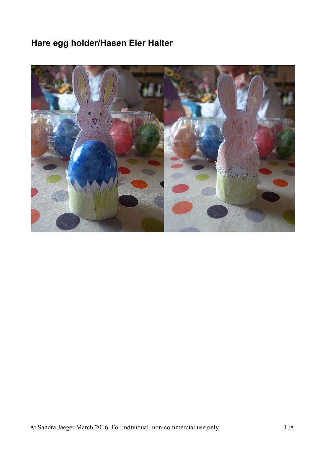## **Hare egg holder/Hasen Eier Halter**

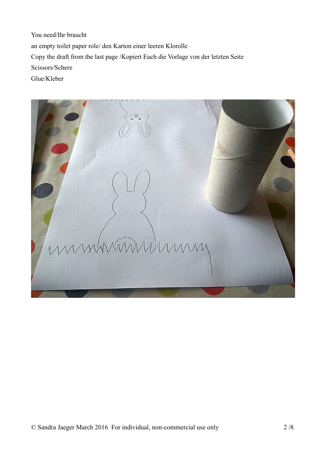You need/Ihr braucht an empty toilet paper role/ den Karton einer leeren Klorolle Copy the draft from the last page /Kopiert Euch die Vorlage von der letzten Seite Scissors/Schere Glue/Kleber

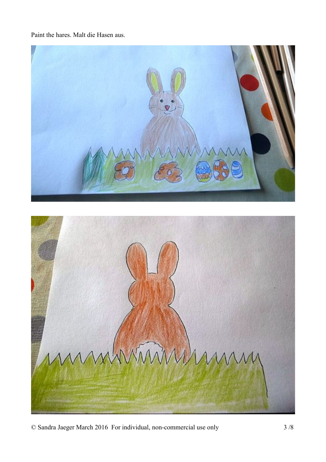Paint the hares. Malt die Hasen aus.



© Sandra Jaeger March 2016 For individual, non-commercial use only 3 /8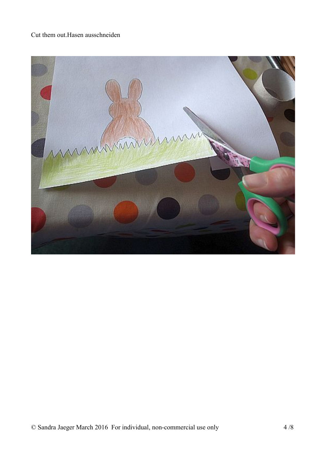## Cut them out.Hasen ausschneiden

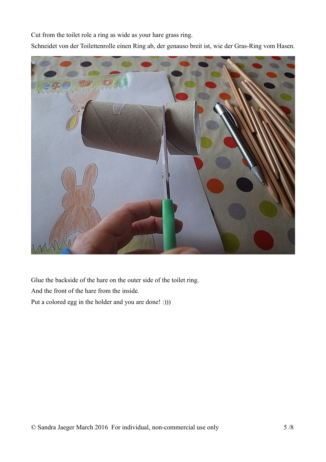Cut from the toilet role a ring as wide as your hare grass ring.

Schneidet von der Toilettenrolle einen Ring ab, der genauso breit ist, wie der Gras-Ring vom Hasen.



Glue the backside of the hare on the outer side of the toilet ring.

And the front of the hare from the inside.

Put a colored egg in the holder and you are done! :)))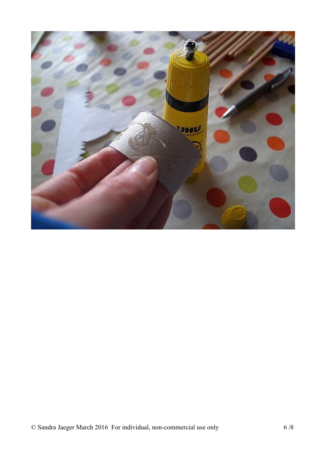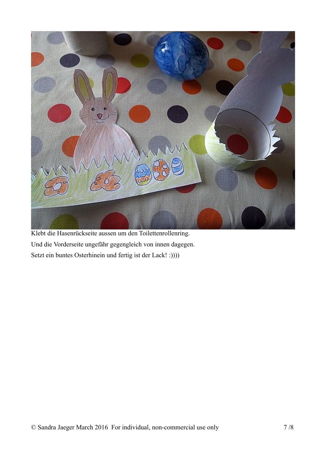

Klebt die Hasenrückseite aussen um den Toilettenrollenring. Und die Vorderseite ungefähr gegengleich von innen dagegen. Setzt ein buntes Osterhinein und fertig ist der Lack! :))))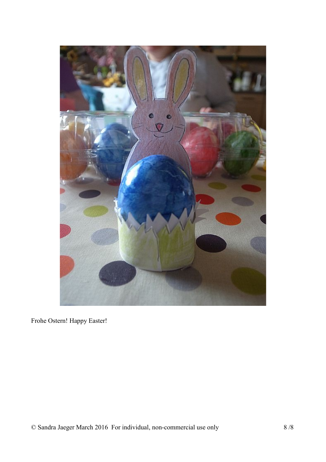

Frohe Ostern! Happy Easter!